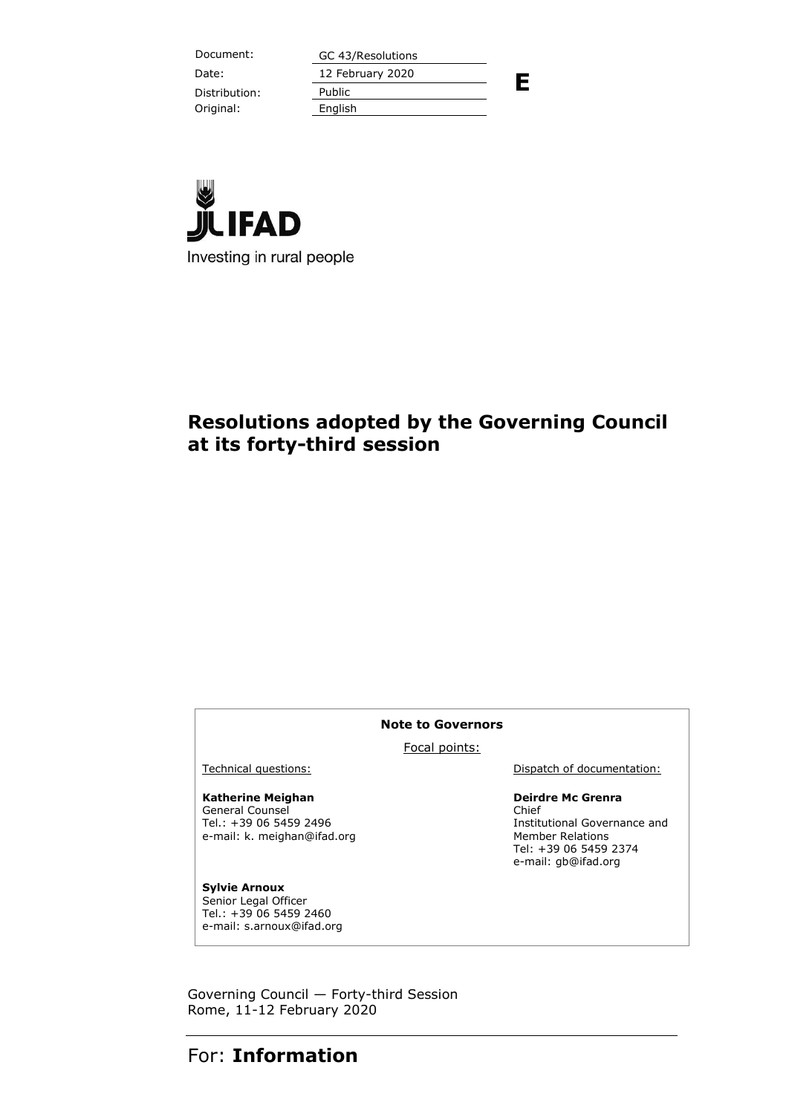Distribution: Public Original: English

Document: GC 43/Resolutions Date: 12 February 2020

**E**



## **Resolutions adopted by the Governing Council at its forty-third session**

#### **Note to Governors**

Focal points:

**Katherine Meighan** General Counsel Tel.: +39 06 5459 2496 e-mail: k. meighan@ifad.org

**Sylvie Arnoux** Senior Legal Officer Tel.: +39 06 5459 2460 e-mail: s.arnoux@ifad.org

Technical questions: Dispatch of documentation:

**Deirdre Mc Grenra** Chief Institutional Governance and Member Relations Tel: +39 06 5459 2374 e-mail: gb@ifad.org

Governing Council — Forty-third Session Rome, 11-12 February 2020

## For: **Information**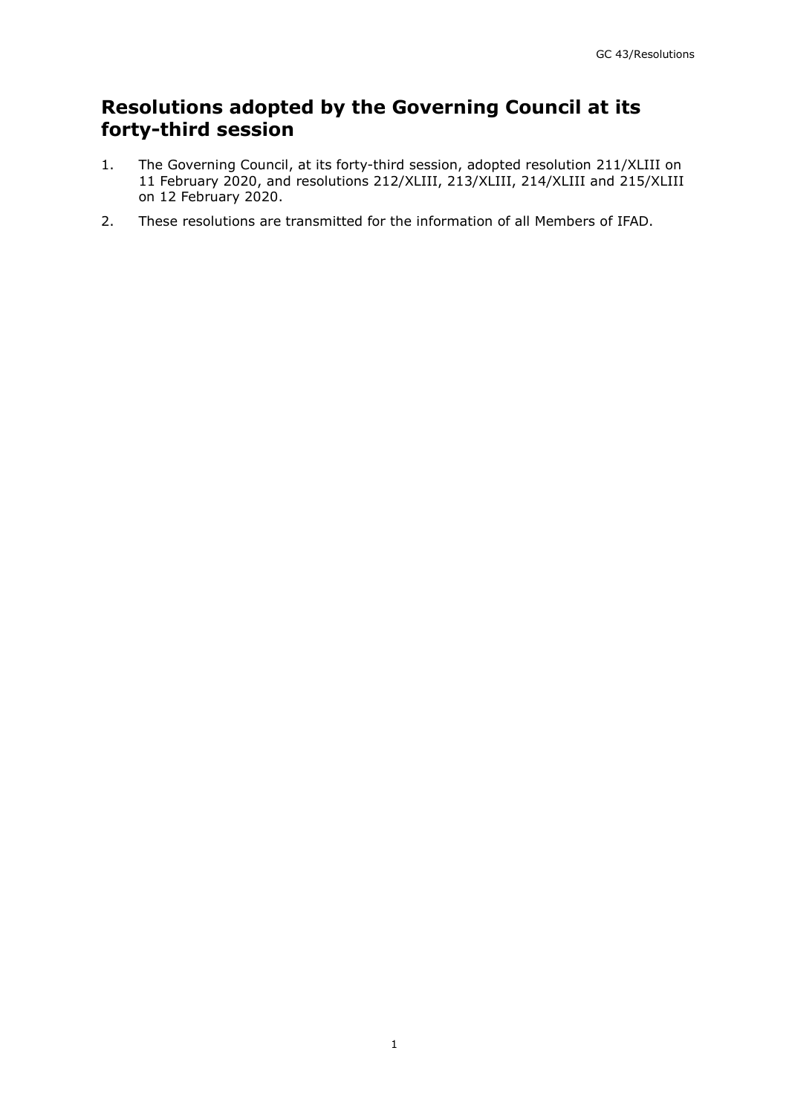# **Resolutions adopted by the Governing Council at its forty-third session**

- 1. The Governing Council, at its forty-third session, adopted resolution 211/XLIII on 11 February 2020, and resolutions 212/XLIII, 213/XLIII, 214/XLIII and 215/XLIII on 12 February 2020.
- 2. These resolutions are transmitted for the information of all Members of IFAD.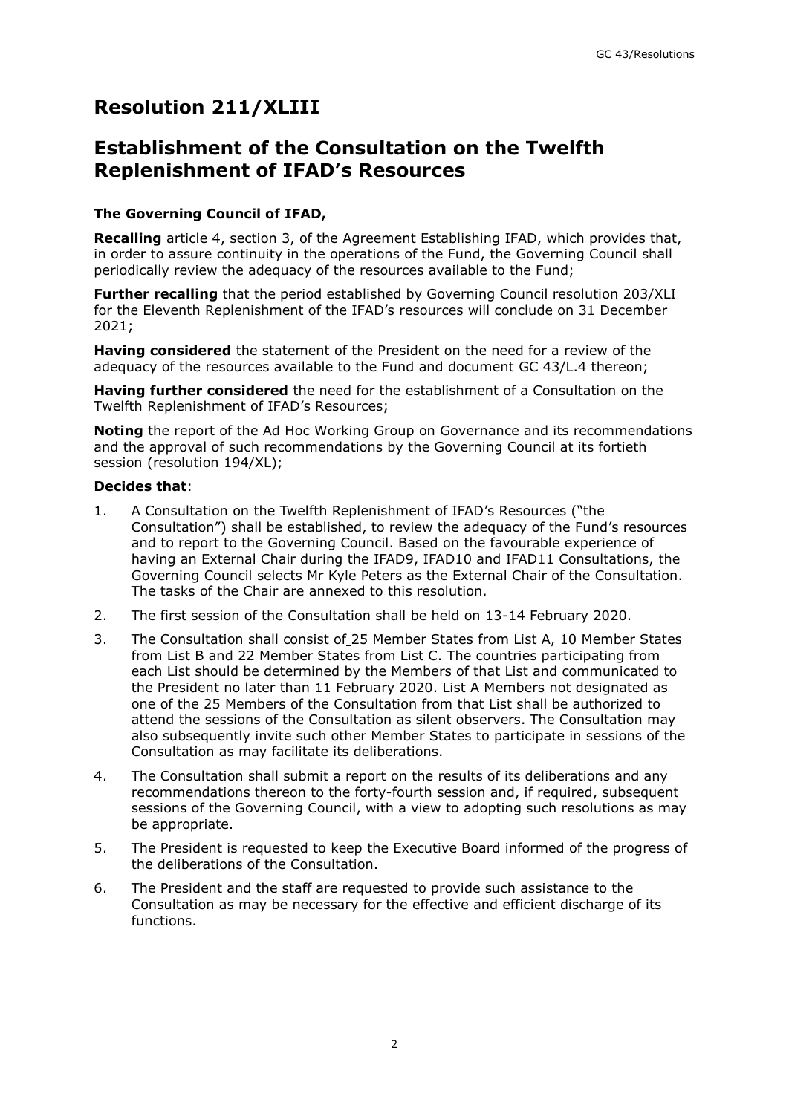# **Resolution 211/XLIII**

## **Establishment of the Consultation on the Twelfth Replenishment of IFAD's Resources**

### **The Governing Council of IFAD,**

**Recalling** article 4, section 3, of the Agreement Establishing IFAD, which provides that, in order to assure continuity in the operations of the Fund, the Governing Council shall periodically review the adequacy of the resources available to the Fund;

**Further recalling** that the period established by Governing Council resolution 203/XLI for the Eleventh Replenishment of the IFAD's resources will conclude on 31 December 2021;

**Having considered** the statement of the President on the need for a review of the adequacy of the resources available to the Fund and document GC 43/L.4 thereon;

**Having further considered** the need for the establishment of a Consultation on the Twelfth Replenishment of IFAD's Resources;

**Noting** the report of the Ad Hoc Working Group on Governance and its recommendations and the approval of such recommendations by the Governing Council at its fortieth session (resolution 194/XL);

### **Decides that**:

- 1. A Consultation on the Twelfth Replenishment of IFAD's Resources ("the Consultation") shall be established, to review the adequacy of the Fund's resources and to report to the Governing Council. Based on the favourable experience of having an External Chair during the IFAD9, IFAD10 and IFAD11 Consultations, the Governing Council selects Mr Kyle Peters as the External Chair of the Consultation. The tasks of the Chair are annexed to this resolution.
- 2. The first session of the Consultation shall be held on 13-14 February 2020.
- 3. The Consultation shall consist of 25 Member States from List A, 10 Member States from List B and 22 Member States from List C. The countries participating from each List should be determined by the Members of that List and communicated to the President no later than 11 February 2020. List A Members not designated as one of the 25 Members of the Consultation from that List shall be authorized to attend the sessions of the Consultation as silent observers. The Consultation may also subsequently invite such other Member States to participate in sessions of the Consultation as may facilitate its deliberations.
- 4. The Consultation shall submit a report on the results of its deliberations and any recommendations thereon to the forty-fourth session and, if required, subsequent sessions of the Governing Council, with a view to adopting such resolutions as may be appropriate.
- 5. The President is requested to keep the Executive Board informed of the progress of the deliberations of the Consultation.
- 6. The President and the staff are requested to provide such assistance to the Consultation as may be necessary for the effective and efficient discharge of its functions.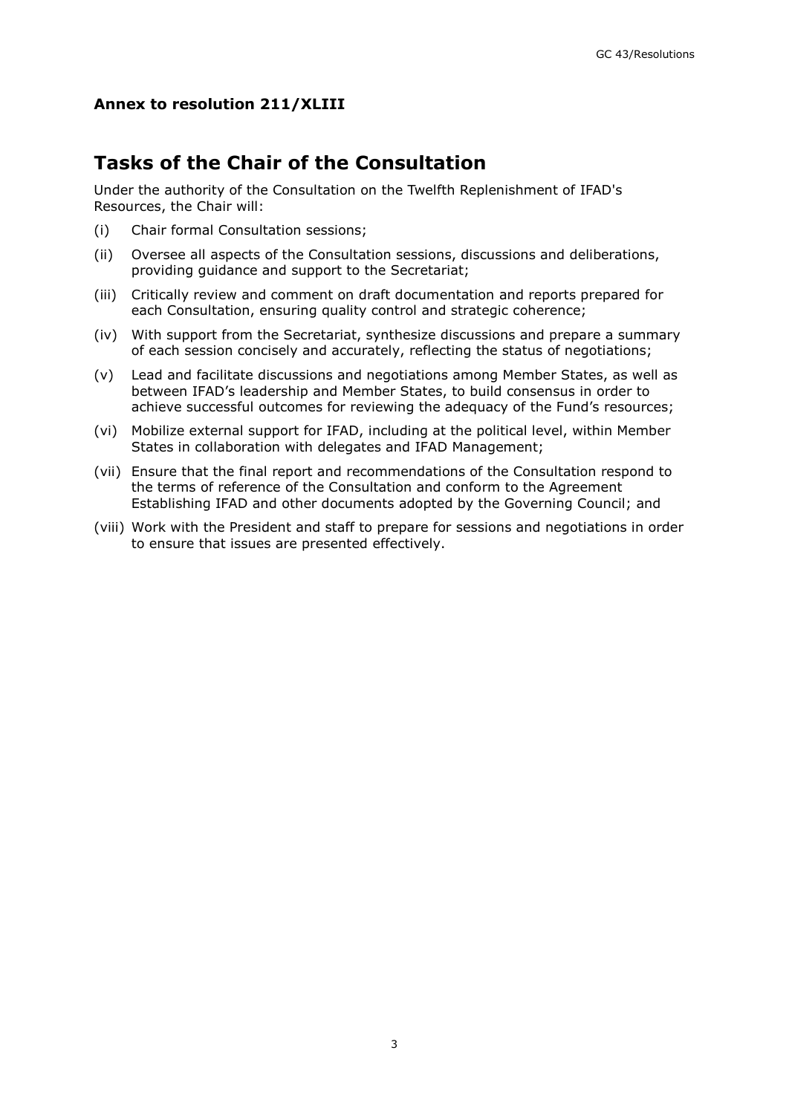### **Annex to resolution 211/XLIII**

## **Tasks of the Chair of the Consultation**

Under the authority of the Consultation on the Twelfth Replenishment of IFAD's Resources, the Chair will:

- (i) Chair formal Consultation sessions;
- (ii) Oversee all aspects of the Consultation sessions, discussions and deliberations, providing guidance and support to the Secretariat;
- (iii) Critically review and comment on draft documentation and reports prepared for each Consultation, ensuring quality control and strategic coherence;
- (iv) With support from the Secretariat, synthesize discussions and prepare a summary of each session concisely and accurately, reflecting the status of negotiations;
- (v) Lead and facilitate discussions and negotiations among Member States, as well as between IFAD's leadership and Member States, to build consensus in order to achieve successful outcomes for reviewing the adequacy of the Fund's resources;
- (vi) Mobilize external support for IFAD, including at the political level, within Member States in collaboration with delegates and IFAD Management;
- (vii) Ensure that the final report and recommendations of the Consultation respond to the terms of reference of the Consultation and conform to the Agreement Establishing IFAD and other documents adopted by the Governing Council; and
- (viii) Work with the President and staff to prepare for sessions and negotiations in order to ensure that issues are presented effectively.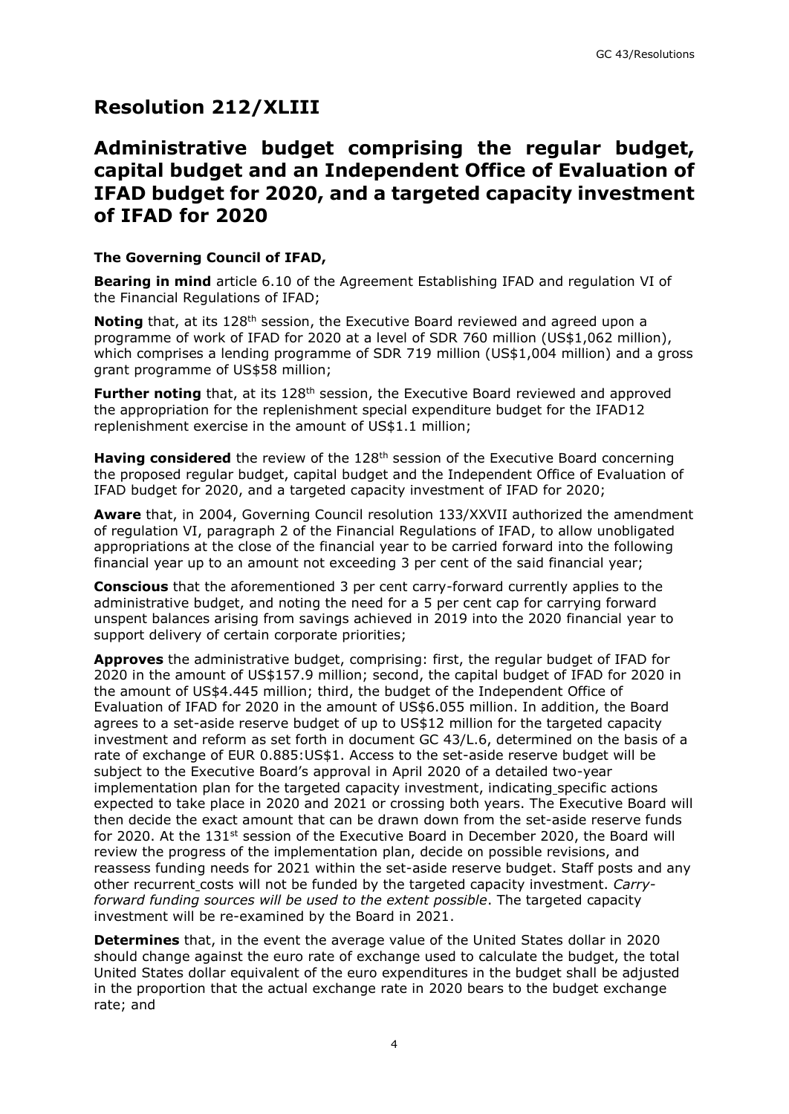# **Resolution 212/XLIII**

## **Administrative budget comprising the regular budget, capital budget and an Independent Office of Evaluation of IFAD budget for 2020, and a targeted capacity investment of IFAD for 2020**

### **The Governing Council of IFAD,**

**Bearing in mind** article 6.10 of the Agreement Establishing IFAD and regulation VI of the Financial Regulations of IFAD;

**Noting** that, at its 128<sup>th</sup> session, the Executive Board reviewed and agreed upon a programme of work of IFAD for 2020 at a level of SDR 760 million (US\$1,062 million), which comprises a lending programme of SDR 719 million (US\$1,004 million) and a gross grant programme of US\$58 million;

Further noting that, at its 128<sup>th</sup> session, the Executive Board reviewed and approved the appropriation for the replenishment special expenditure budget for the IFAD12 replenishment exercise in the amount of US\$1.1 million;

**Having considered** the review of the 128th session of the Executive Board concerning the proposed regular budget, capital budget and the Independent Office of Evaluation of IFAD budget for 2020, and a targeted capacity investment of IFAD for 2020;

**Aware** that, in 2004, Governing Council resolution 133/XXVII authorized the amendment of regulation VI, paragraph 2 of the Financial Regulations of IFAD, to allow unobligated appropriations at the close of the financial year to be carried forward into the following financial year up to an amount not exceeding 3 per cent of the said financial year;

**Conscious** that the aforementioned 3 per cent carry-forward currently applies to the administrative budget, and noting the need for a 5 per cent cap for carrying forward unspent balances arising from savings achieved in 2019 into the 2020 financial year to support delivery of certain corporate priorities;

**Approves** the administrative budget, comprising: first, the regular budget of IFAD for 2020 in the amount of US\$157.9 million; second, the capital budget of IFAD for 2020 in the amount of US\$4.445 million; third, the budget of the Independent Office of Evaluation of IFAD for 2020 in the amount of US\$6.055 million. In addition, the Board agrees to a set-aside reserve budget of up to US\$12 million for the targeted capacity investment and reform as set forth in document GC 43/L.6, determined on the basis of a rate of exchange of EUR 0.885:US\$1. Access to the set-aside reserve budget will be subject to the Executive Board's approval in April 2020 of a detailed two-year implementation plan for the targeted capacity investment, indicating specific actions expected to take place in 2020 and 2021 or crossing both years. The Executive Board will then decide the exact amount that can be drawn down from the set-aside reserve funds for 2020. At the 131st session of the Executive Board in December 2020, the Board will review the progress of the implementation plan, decide on possible revisions, and reassess funding needs for 2021 within the set-aside reserve budget. Staff posts and any other recurrent costs will not be funded by the targeted capacity investment. *Carryforward funding sources will be used to the extent possible*. The targeted capacity investment will be re-examined by the Board in 2021.

**Determines** that, in the event the average value of the United States dollar in 2020 should change against the euro rate of exchange used to calculate the budget, the total United States dollar equivalent of the euro expenditures in the budget shall be adjusted in the proportion that the actual exchange rate in 2020 bears to the budget exchange rate; and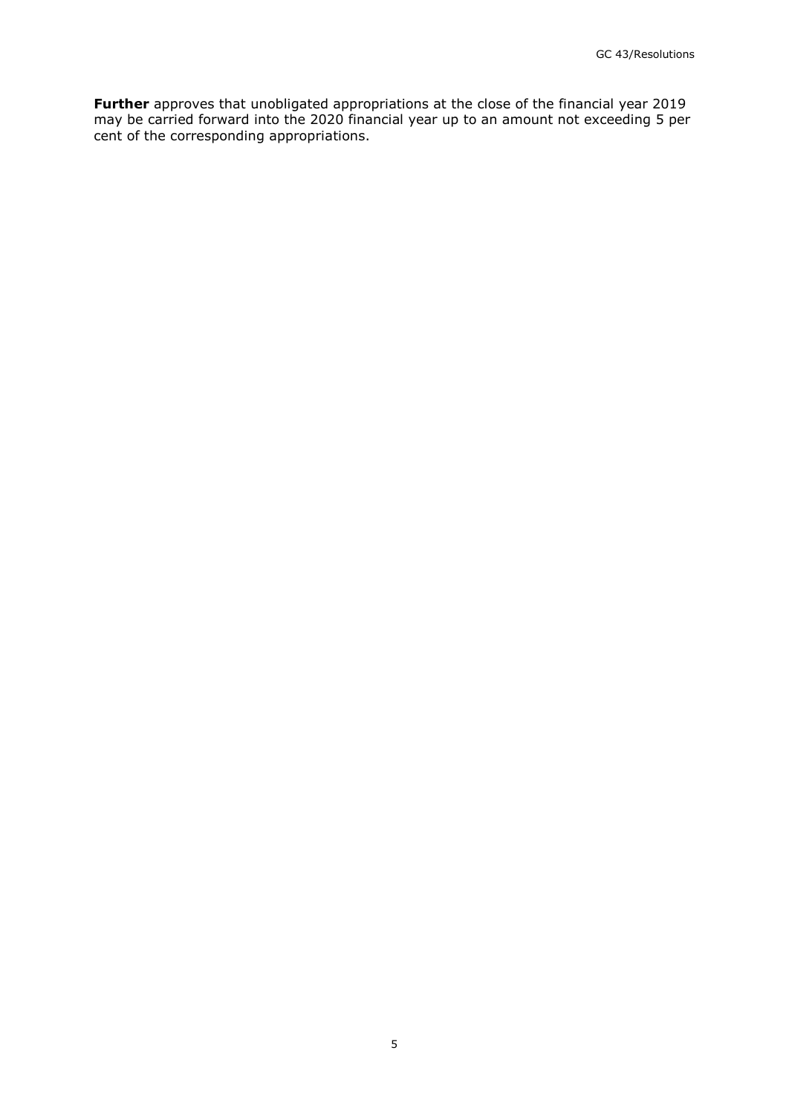**Further** approves that unobligated appropriations at the close of the financial year 2019 may be carried forward into the 2020 financial year up to an amount not exceeding 5 per cent of the corresponding appropriations.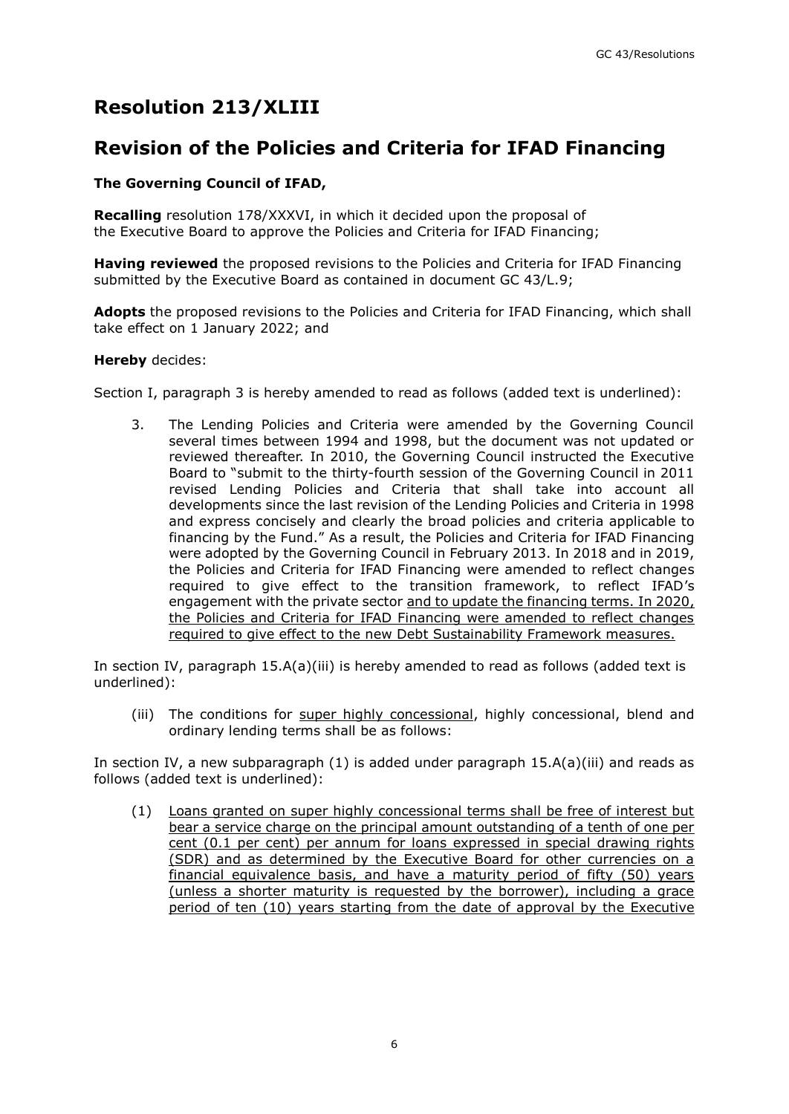# **Resolution 213/XLIII**

## **Revision of the Policies and Criteria for IFAD Financing**

## **The Governing Council of IFAD,**

**Recalling** resolution 178/XXXVI, in which it decided upon the proposal of the Executive Board to approve the Policies and Criteria for IFAD Financing;

**Having reviewed** the proposed revisions to the Policies and Criteria for IFAD Financing submitted by the Executive Board as contained in document GC 43/L.9;

**Adopts** the proposed revisions to the Policies and Criteria for IFAD Financing, which shall take effect on 1 January 2022; and

### **Hereby** decides:

Section I, paragraph 3 is hereby amended to read as follows (added text is underlined):

3. The Lending Policies and Criteria were amended by the Governing Council several times between 1994 and 1998, but the document was not updated or reviewed thereafter. In 2010, the Governing Council instructed the Executive Board to "submit to the thirty-fourth session of the Governing Council in 2011 revised Lending Policies and Criteria that shall take into account all developments since the last revision of the Lending Policies and Criteria in 1998 and express concisely and clearly the broad policies and criteria applicable to financing by the Fund." As a result, the Policies and Criteria for IFAD Financing were adopted by the Governing Council in February 2013. In 2018 and in 2019, the Policies and Criteria for IFAD Financing were amended to reflect changes required to give effect to the transition framework, to reflect IFAD's engagement with the private sector and to update the financing terms. In 2020, the Policies and Criteria for IFAD Financing were amended to reflect changes required to give effect to the new Debt Sustainability Framework measures.

In section IV, paragraph 15.A(a)(iii) is hereby amended to read as follows (added text is underlined):

(iii) The conditions for super highly concessional, highly concessional, blend and ordinary lending terms shall be as follows:

In section IV, a new subparagraph  $(1)$  is added under paragraph  $15.A(a)(iii)$  and reads as follows (added text is underlined):

(1) Loans granted on super highly concessional terms shall be free of interest but bear a service charge on the principal amount outstanding of a tenth of one per cent (0.1 per cent) per annum for loans expressed in special drawing rights (SDR) and as determined by the Executive Board for other currencies on a financial equivalence basis, and have a maturity period of fifty (50) years (unless a shorter maturity is requested by the borrower), including a grace period of ten (10) years starting from the date of approval by the Executive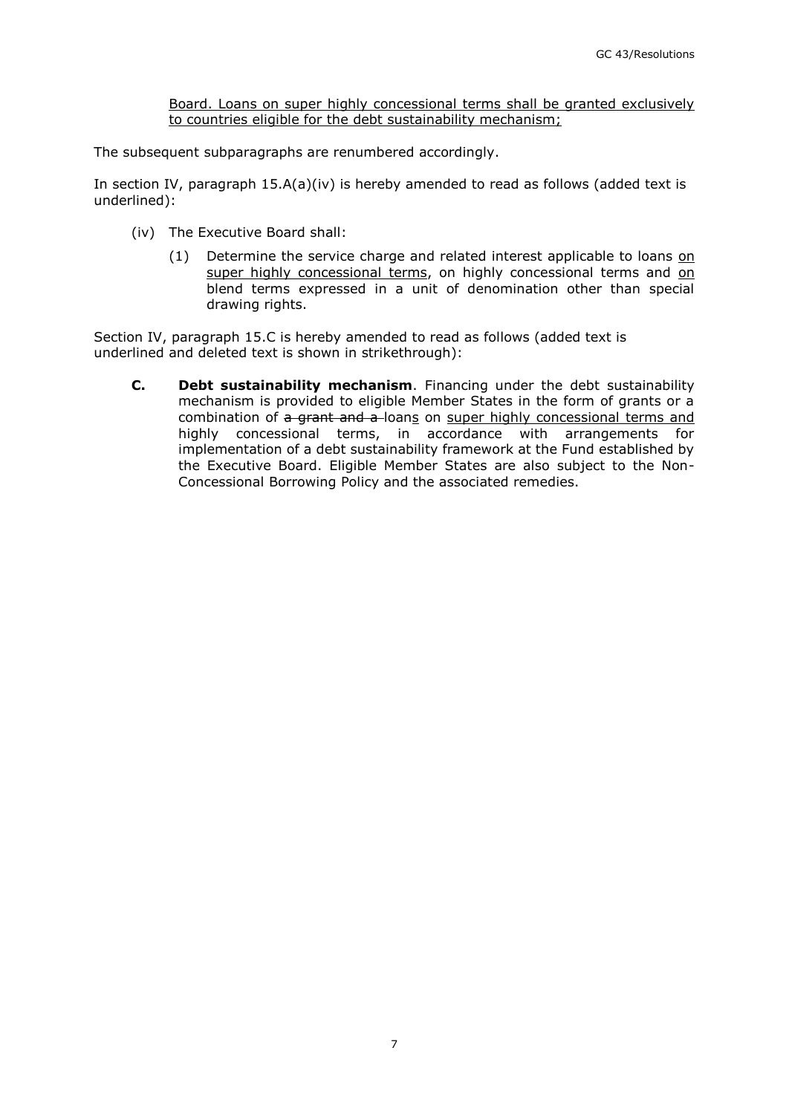Board. Loans on super highly concessional terms shall be granted exclusively to countries eligible for the debt sustainability mechanism;

The subsequent subparagraphs are renumbered accordingly.

In section IV, paragraph  $15.A(a)(iv)$  is hereby amended to read as follows (added text is underlined):

- (iv) The Executive Board shall:
	- (1) Determine the service charge and related interest applicable to loans on super highly concessional terms, on highly concessional terms and on blend terms expressed in a unit of denomination other than special drawing rights.

Section IV, paragraph 15.C is hereby amended to read as follows (added text is underlined and deleted text is shown in strikethrough):

**C. Debt sustainability mechanism**. Financing under the debt sustainability mechanism is provided to eligible Member States in the form of grants or a combination of a grant and a loans on super highly concessional terms and highly concessional terms, in accordance with arrangements for implementation of a debt sustainability framework at the Fund established by the Executive Board. Eligible Member States are also subject to the Non-Concessional Borrowing Policy and the associated remedies.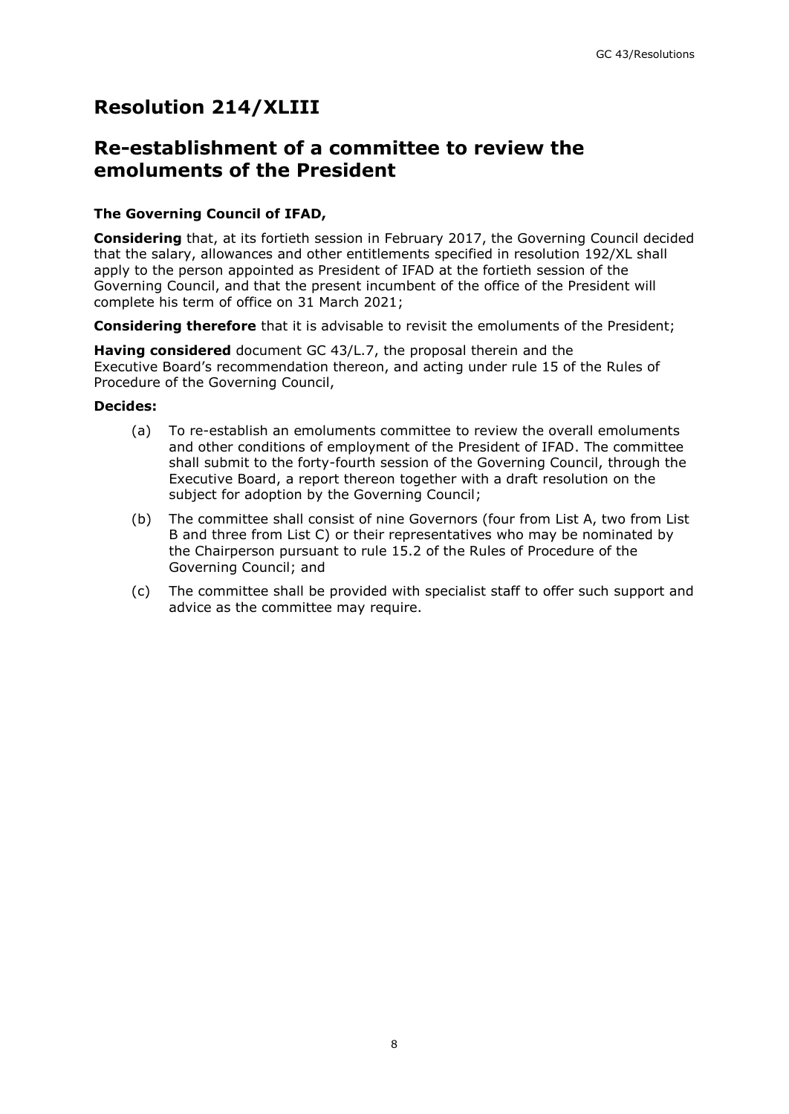# **Resolution 214/XLIII**

## **Re-establishment of a committee to review the emoluments of the President**

### **The Governing Council of IFAD,**

**Considering** that, at its fortieth session in February 2017, the Governing Council decided that the salary, allowances and other entitlements specified in resolution 192/XL shall apply to the person appointed as President of IFAD at the fortieth session of the Governing Council, and that the present incumbent of the office of the President will complete his term of office on 31 March 2021;

**Considering therefore** that it is advisable to revisit the emoluments of the President;

**Having considered** document GC 43/L.7, the proposal therein and the Executive Board's recommendation thereon, and acting under rule 15 of the Rules of Procedure of the Governing Council,

### **Decides:**

- (a) To re-establish an emoluments committee to review the overall emoluments and other conditions of employment of the President of IFAD. The committee shall submit to the forty-fourth session of the Governing Council, through the Executive Board, a report thereon together with a draft resolution on the subject for adoption by the Governing Council;
- (b) The committee shall consist of nine Governors (four from List A, two from List B and three from List C) or their representatives who may be nominated by the Chairperson pursuant to rule 15.2 of the Rules of Procedure of the Governing Council; and
- (c) The committee shall be provided with specialist staff to offer such support and advice as the committee may require.